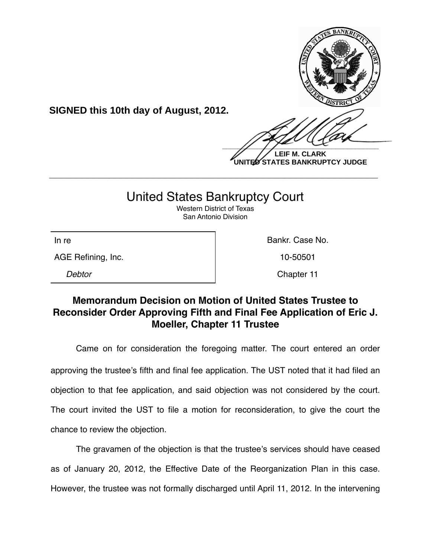

**UNITED STATES BANKRUPTCY JUDGE**

## United States Bankruptcy Court

**\_\_\_\_\_\_\_\_\_\_\_\_\_\_\_\_\_\_\_\_\_\_\_\_\_\_\_\_\_\_\_\_\_\_\_\_\_\_\_\_\_\_\_\_\_\_\_\_\_\_\_\_\_\_\_\_\_\_\_\_**

Western District of Texas San Antonio Division

AGE Refining, Inc. 10-50501

**SIGNED this 10th day of August, 2012.**

In re **Bankr.** Case No.

*Debtor* Chapter 11

## **Memorandum Decision on Motion of United States Trustee to Reconsider Order Approving Fifth and Final Fee Application of Eric J. Moeller, Chapter 11 Trustee**

Came on for consideration the foregoing matter. The court entered an order approving the trustee's fifth and final fee application. The UST noted that it had filed an objection to that fee application, and said objection was not considered by the court. The court invited the UST to file a motion for reconsideration, to give the court the chance to review the objection.

The gravamen of the objection is that the trustee's services should have ceased as of January 20, 2012, the Effective Date of the Reorganization Plan in this case. However, the trustee was not formally discharged until April 11, 2012. In the intervening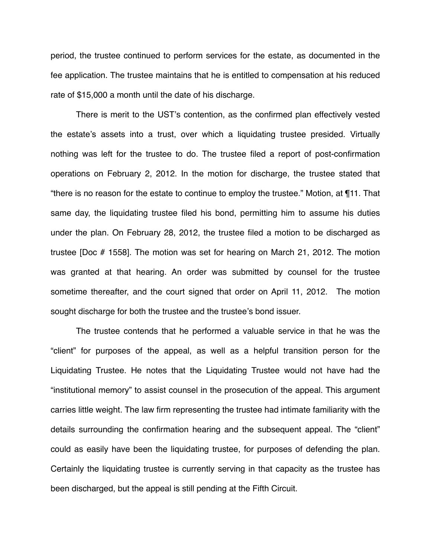period, the trustee continued to perform services for the estate, as documented in the fee application. The trustee maintains that he is entitled to compensation at his reduced rate of \$15,000 a month until the date of his discharge.

There is merit to the UST's contention, as the confirmed plan effectively vested the estate's assets into a trust, over which a liquidating trustee presided. Virtually nothing was left for the trustee to do. The trustee filed a report of post-confirmation operations on February 2, 2012. In the motion for discharge, the trustee stated that "there is no reason for the estate to continue to employ the trustee." Motion, at ¶11. That same day, the liquidating trustee filed his bond, permitting him to assume his duties under the plan. On February 28, 2012, the trustee filed a motion to be discharged as trustee [Doc # 1558]. The motion was set for hearing on March 21, 2012. The motion was granted at that hearing. An order was submitted by counsel for the trustee sometime thereafter, and the court signed that order on April 11, 2012. The motion sought discharge for both the trustee and the trustee's bond issuer.

The trustee contends that he performed a valuable service in that he was the "client" for purposes of the appeal, as well as a helpful transition person for the Liquidating Trustee. He notes that the Liquidating Trustee would not have had the "institutional memory" to assist counsel in the prosecution of the appeal. This argument carries little weight. The law firm representing the trustee had intimate familiarity with the details surrounding the confirmation hearing and the subsequent appeal. The "client" could as easily have been the liquidating trustee, for purposes of defending the plan. Certainly the liquidating trustee is currently serving in that capacity as the trustee has been discharged, but the appeal is still pending at the Fifth Circuit.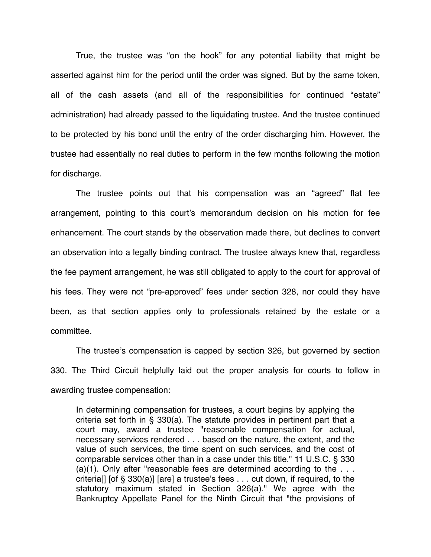True, the trustee was "on the hook" for any potential liability that might be asserted against him for the period until the order was signed. But by the same token, all of the cash assets (and all of the responsibilities for continued "estate" administration) had already passed to the liquidating trustee. And the trustee continued to be protected by his bond until the entry of the order discharging him. However, the trustee had essentially no real duties to perform in the few months following the motion for discharge.

The trustee points out that his compensation was an "agreed" flat fee arrangement, pointing to this court's memorandum decision on his motion for fee enhancement. The court stands by the observation made there, but declines to convert an observation into a legally binding contract. The trustee always knew that, regardless the fee payment arrangement, he was still obligated to apply to the court for approval of his fees. They were not "pre-approved" fees under section 328, nor could they have been, as that section applies only to professionals retained by the estate or a committee.

The trustee's compensation is capped by section 326, but governed by section 330. The Third Circuit helpfully laid out the proper analysis for courts to follow in awarding trustee compensation:

In determining compensation for trustees, a court begins by applying the criteria set forth in § 330(a). The statute provides in pertinent part that a court may, award a trustee "reasonable compensation for actual, necessary services rendered . . . based on the nature, the extent, and the value of such services, the time spent on such services, and the cost of comparable services other than in a case under this title." 11 U.S.C. § 330  $(a)(1)$ . Only after "reasonable fees are determined according to the  $\dots$ criteria[] [of § 330(a)] [are] a trustee's fees . . . cut down, if required, to the statutory maximum stated in Section 326(a)." We agree with the Bankruptcy Appellate Panel for the Ninth Circuit that "the provisions of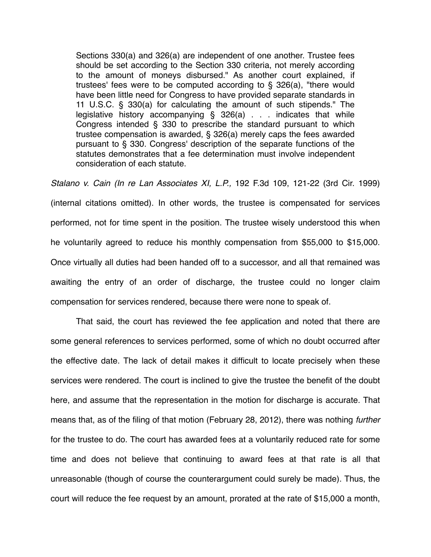Sections 330(a) and 326(a) are independent of one another. Trustee fees should be set according to the Section 330 criteria, not merely according to the amount of moneys disbursed." As another court explained, if trustees' fees were to be computed according to § 326(a), "there would have been little need for Congress to have provided separate standards in 11 U.S.C. § 330(a) for calculating the amount of such stipends." The legislative history accompanying § 326(a) . . . indicates that while Congress intended § 330 to prescribe the standard pursuant to which trustee compensation is awarded, § 326(a) merely caps the fees awarded pursuant to § 330. Congress' description of the separate functions of the statutes demonstrates that a fee determination must involve independent consideration of each statute.

*Stalano v. Cain (In re Lan Associates XI, L.P.,* 192 F.3d 109, 121-22 (3rd Cir. 1999) (internal citations omitted). In other words, the trustee is compensated for services performed, not for time spent in the position. The trustee wisely understood this when he voluntarily agreed to reduce his monthly compensation from \$55,000 to \$15,000. Once virtually all duties had been handed off to a successor, and all that remained was awaiting the entry of an order of discharge, the trustee could no longer claim compensation for services rendered, because there were none to speak of.

That said, the court has reviewed the fee application and noted that there are some general references to services performed, some of which no doubt occurred after the effective date. The lack of detail makes it difficult to locate precisely when these services were rendered. The court is inclined to give the trustee the benefit of the doubt here, and assume that the representation in the motion for discharge is accurate. That means that, as of the filing of that motion (February 28, 2012), there was nothing *further* for the trustee to do. The court has awarded fees at a voluntarily reduced rate for some time and does not believe that continuing to award fees at that rate is all that unreasonable (though of course the counterargument could surely be made). Thus, the court will reduce the fee request by an amount, prorated at the rate of \$15,000 a month,